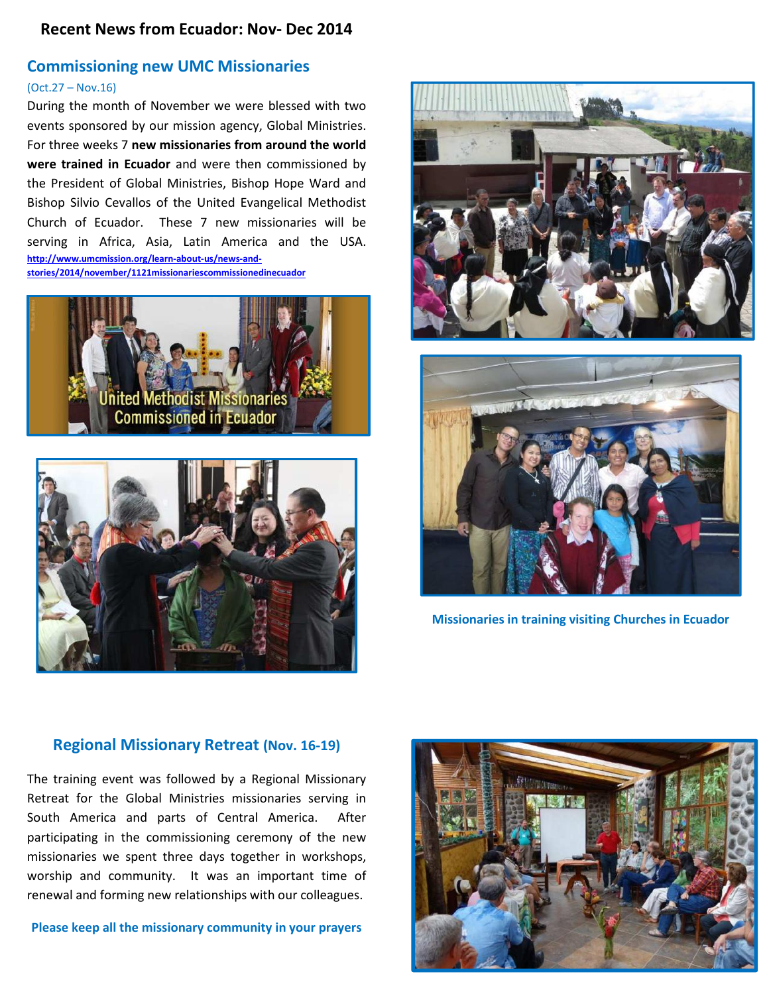### **Recent News from Ecuador: Nov- Dec 2014**

#### **Commissioning new UMC Missionaries**

#### (Oct.27 – Nov.16)

During the month of November we were blessed with two events sponsored by our mission agency, Global Ministries. For three weeks 7 **new missionaries from around the world were trained in Ecuador** and were then commissioned by the President of Global Ministries, Bishop Hope Ward and Bishop Silvio Cevallos of the United Evangelical Methodist Church of Ecuador. These 7 new missionaries will be serving in Africa, Asia, Latin America and the USA. **http://www.umcmission.org/learn-about-us/news-andstories/2014/november/1121missionariescommissionedinecuador**









**Missionaries in training visiting Churches in Ecuador**

#### **Regional Missionary Retreat (Nov. 16-19)**

The training event was followed by a Regional Missionary Retreat for the Global Ministries missionaries serving in South America and parts of Central America. After participating in the commissioning ceremony of the new missionaries we spent three days together in workshops, worship and community. It was an important time of renewal and forming new relationships with our colleagues.

**Please keep all the missionary community in your prayers** 

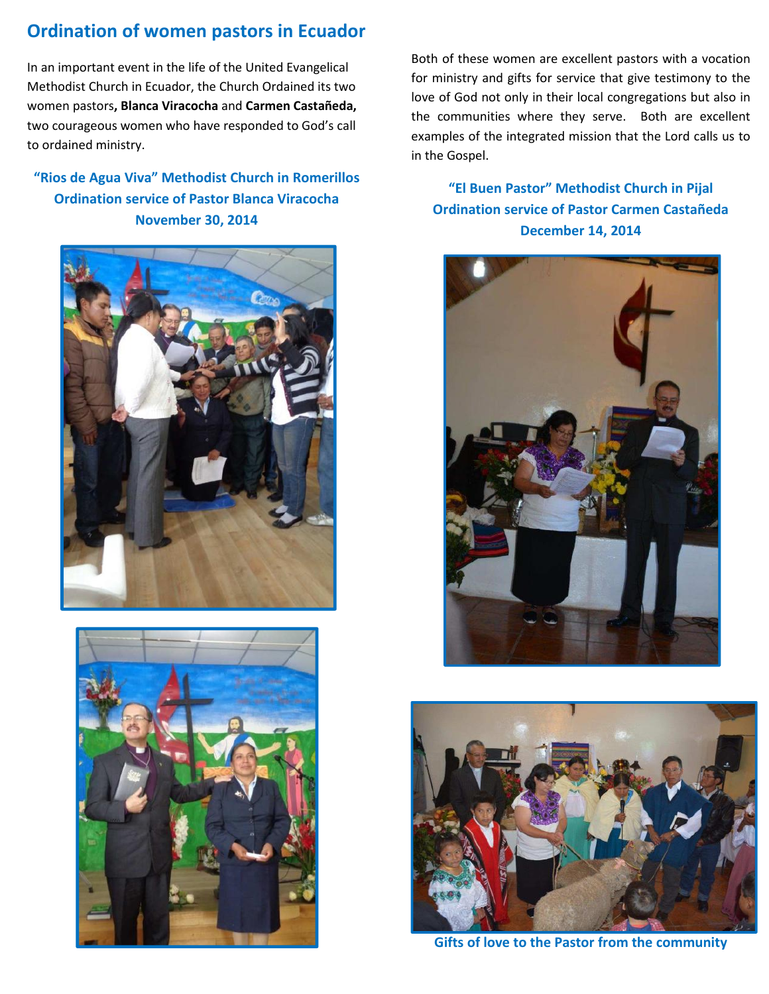## **Ordination of women pastors in Ecuador**

In an important event in the life of the United Evangelical Methodist Church in Ecuador, the Church Ordained its two women pastors**, Blanca Viracocha** and **Carmen Castañeda,** two courageous women who have responded to God's call to ordained ministry.

## **"Rios de Agua Viva" Methodist Church in Romerillos Ordination service of Pastor Blanca Viracocha November 30, 2014**





Both of these women are excellent pastors with a vocation for ministry and gifts for service that give testimony to the love of God not only in their local congregations but also in the communities where they serve. Both are excellent examples of the integrated mission that the Lord calls us to in the Gospel.

## **"El Buen Pastor" Methodist Church in Pijal Ordination service of Pastor Carmen Castañeda December 14, 2014**





**Gifts of love to the Pastor from the community**